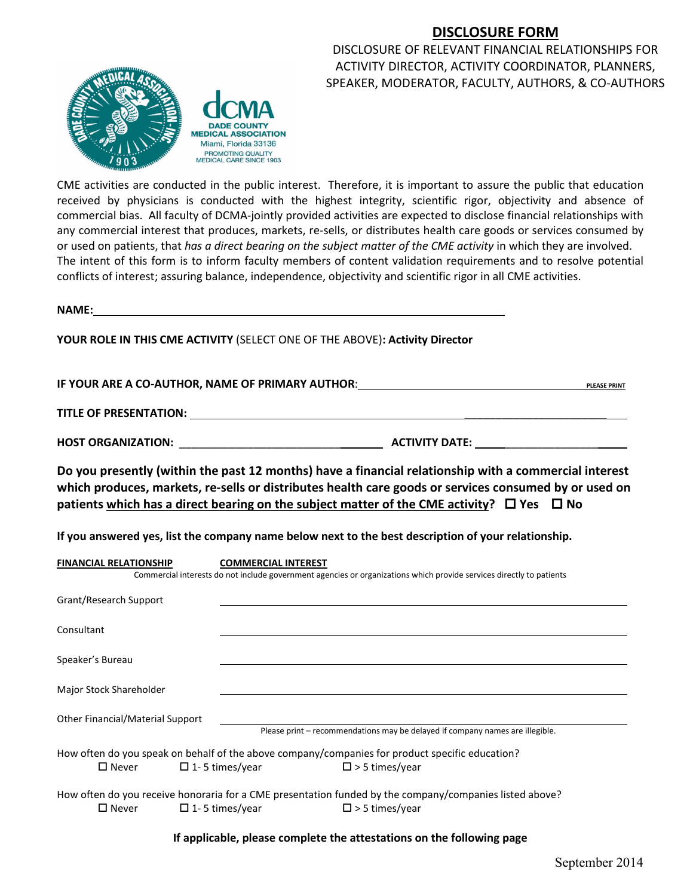## **DISCLOSURE FORM**



DISCLOSURE OF RELEVANT FINANCIAL RELATIONSHIPS FOR ACTIVITY DIRECTOR, ACTIVITY COORDINATOR, PLANNERS, SPEAKER, MODERATOR, FACULTY, AUTHORS, & CO-AUTHORS

CME activities are conducted in the public interest. Therefore, it is important to assure the public that education received by physicians is conducted with the highest integrity, scientific rigor, objectivity and absence of commercial bias. All faculty of DCMA-jointly provided activities are expected to disclose financial relationships with any commercial interest that produces, markets, re-sells, or distributes health care goods or services consumed by or used on patients, that *has a direct bearing on the subject matter of the CME activity* in which they are involved. The intent of this form is to inform faculty members of content validation requirements and to resolve potential conflicts of interest; assuring balance, independence, objectivity and scientific rigor in all CME activities.

**NAME:**

**YOUR ROLE IN THIS CME ACTIVITY** (SELECT ONE OF THE ABOVE)**: Activity Director**

**IF YOUR ARE A CO-AUTHOR, NAME OF PRIMARY AUTHOR**: **PLEASE PRINT**

**TITLE OF PRESENTATION:** \_\_\_\_\_\_\_\_\_\_\_\_\_\_\_\_\_\_\_\_\_\_\_

**HOST ORGANIZATION:** \_\_\_\_\_\_\_\_\_\_\_\_\_\_\_\_\_\_\_\_\_\_\_\_\_\_ **ACTIVITY DATE:** \_\_\_\_\_\_\_\_\_\_\_\_\_\_\_

**Do you presently (within the past 12 months) have a financial relationship with a commercial interest which produces, markets, re-sells or distributes health care goods or services consumed by or used on patients** which has a direct bearing on the subject matter of the CME activity?  $\Box$  Yes  $\Box$  No

**If you answered yes, list the company name below next to the best description of your relationship.**

| <b>FINANCIAL RELATIONSHIP</b>    | <b>COMMERCIAL INTEREST</b> | Commercial interests do not include government agencies or organizations which provide services directly to patients                |
|----------------------------------|----------------------------|-------------------------------------------------------------------------------------------------------------------------------------|
| Grant/Research Support           |                            |                                                                                                                                     |
| Consultant                       |                            |                                                                                                                                     |
| Speaker's Bureau                 |                            |                                                                                                                                     |
| Major Stock Shareholder          |                            |                                                                                                                                     |
| Other Financial/Material Support |                            | Please print – recommendations may be delayed if company names are illegible.                                                       |
| $\square$ Never                  | $\Box$ 1-5 times/year      | How often do you speak on behalf of the above company/companies for product specific education?<br>$\square$ > 5 times/year         |
| $\square$ Never                  | $\Box$ 1-5 times/year      | How often do you receive honoraria for a CME presentation funded by the company/companies listed above?<br>$\square$ > 5 times/year |

**If applicable, please complete the attestations on the following page**